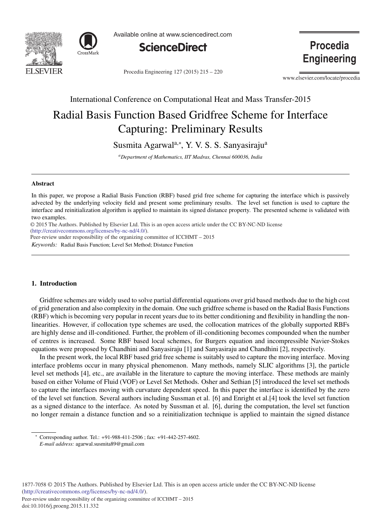



Available online at www.sciencedirect.com



Procedia Engineering 127 (2015) 215 - 220

**Procedia Engineering** 

www.elsevier.com/locate/procedia

International Conference on Computational Heat and Mass Transfer-2015

# Radial Basis Function Based Gridfree Scheme for Interface Capturing: Preliminary Results

Susmita Agarwal<sup>a,\*</sup>, Y. V. S. S. Sanyasiraju<sup>a</sup>

*aDepartment of Mathematics, IIT Madras, Chennai 600036, India*

## Abstract

In this paper, we propose a Radial Basis Function (RBF) based grid free scheme for capturing the interface which is passively advected by the underlying velocity field and present some preliminary results. The level set function is used to capture the interface and reinitialization algorithm is applied to maintain its signed distance property. The presented scheme is validated with two examples.

c 2015 The Authors. Published by Elsevier Ltd. © 2015 The Authors. Published by Elsevier Ltd. This is an open access article under the CC BY-NC-ND license (http://creativecommons.org/licenses/by-nc-nd/4.0/).

Peer-review under responsibility of the organizing committee of ICCHMT – 2015

*Keywords:* Radial Basis Function; Level Set Method; Distance Function

# 1. Introduction

Gridfree schemes are widely used to solve partial differential equations over grid based methods due to the high cost of grid generation and also complexity in the domain. One such gridfree scheme is based on the Radial Basis Functions (RBF) which is becoming very popular in recent years due to its better conditioning and flexibility in handling the nonlinearities. However, if collocation type schemes are used, the collocation matrices of the globally supported RBFs are highly dense and ill-conditioned. Further, the problem of ill-conditioning becomes compounded when the number of centres is increased. Some RBF based local schemes, for Burgers equation and incompressible Navier-Stokes equations were proposed by Chandhini and Sanyasiraju [1] and Sanyasiraju and Chandhini [2], respectively.

In the present work, the local RBF based grid free scheme is suitably used to capture the moving interface. Moving interface problems occur in many physical phenomenon. Many methods, namely SLIC algorithms [3], the particle level set methods [4], etc., are available in the literature to capture the moving interface. These methods are mainly based on either Volume of Fluid (VOF) or Level Set Methods. Osher and Sethian [5] introduced the level set methods to capture the interfaces moving with curvature dependent speed. In this paper the interface is identified by the zero of the level set function. Several authors including Sussman et al. [6] and Enright et al.[4] took the level set function as a signed distance to the interface. As noted by Sussman et al. [6], during the computation, the level set function no longer remain a distance function and so a reinitialization technique is applied to maintain the signed distance

<sup>∗</sup> Corresponding author. Tel.: +91-988-411-2506 ; fax: +91-442-257-4602.

*E-mail address:* agarwal.susmita89@gmail.com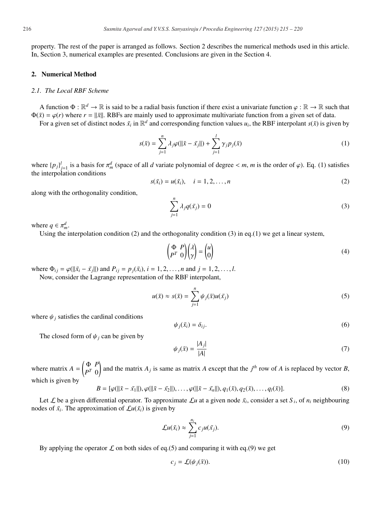property. The rest of the paper is arranged as follows. Section 2 describes the numerical methods used in this article. In, Section 3, numerical examples are presented. Conclusions are given in the Section 4.

#### 2. Numerical Method

## *2.1. The Local RBF Scheme*

A function  $\Phi : \mathbb{R}^d \to \mathbb{R}$  is said to be a radial basis function if there exist a univariate function  $\varphi : \mathbb{R} \to \mathbb{R}$  such that  $\Phi(\bar{x}) = \varphi(r)$  where  $r = ||\bar{x}||$ . RBFs are mainly used to approximate multivariate function from a given set of data.

For a given set of distinct nodes  $\bar{x}_i$  in  $\mathbb{R}^d$  and corresponding function values  $u_i$ , the RBF interpolant  $s(\bar{x})$  is given by

$$
s(\bar{x}) = \sum_{j=1}^{n} \lambda_j \varphi(||\bar{x} - \bar{x}_j||) + \sum_{j=1}^{l} \gamma_j p_j(\bar{x})
$$
\n(1)

where  $\{p_j\}_{j=1}^l$  is a basis for  $\pi_m^d$  (space of all *d* variate polynomial of degree < *m*, *m* is the order of  $\varphi$ ). Eq. (1) satisfies the interpolation conditions

$$
s(\bar{x}_i) = u(\bar{x}_i), \quad i = 1, 2, \dots, n
$$
\n
$$
(2)
$$

along with the orthogonality condition,

$$
\sum_{j=1}^{n} \lambda_j q(\bar{x}_j) = 0 \tag{3}
$$

where  $q \in \pi_m^d$ .

Using the interpolation condition (2) and the orthogonality condition (3) in eq.(1) we get a linear system,

$$
\begin{pmatrix} \Phi & P \\ P^T & 0 \end{pmatrix} \begin{pmatrix} \lambda \\ \gamma \end{pmatrix} = \begin{pmatrix} u \\ 0 \end{pmatrix} \tag{4}
$$

where  $\Phi_{ij} = \varphi(||\bar{x}_i - \bar{x}_j||)$  and  $P_{ij} = p_j(\bar{x}_i)$ ,  $i = 1, 2, ..., n$  and  $j = 1, 2, ..., l$ .

Now, consider the Lagrange representation of the RBF interpolant,

$$
u(\bar{x}) \approx s(\bar{x}) = \sum_{j=1}^{n} \psi_j(\bar{x}) u(\bar{x}_j)
$$
 (5)

where  $\psi_i$  satisfies the cardinal conditions

$$
\psi_j(\bar{x}_i) = \delta_{ij}.\tag{6}
$$

The closed form of  $\psi_i$  can be given by

$$
\psi_j(\bar{x}) = \frac{|A_j|}{|A|} \tag{7}
$$

where matrix  $A = \begin{pmatrix} \Phi & P \\ p^T & 0 \end{pmatrix}$  $P^T$   $0$ ) and the matrix  $A_j$  is same as matrix  $A$  except that the  $j<sup>th</sup>$  row of  $A$  is replaced by vector  $B$ , which is given by

$$
B = [\varphi(||\bar{x} - \bar{x_1}||), \varphi(||\bar{x} - \bar{x_2}||), \dots, \varphi(||\bar{x} - \bar{x_n}||), q_1(\bar{x}), q_2(\bar{x}), \dots, q_l(\bar{x})].
$$
\n(8)

Let  $\mathcal L$  be a given differential operator. To approximate  $\mathcal L u$  at a given node  $\bar x_i$ , consider a set  $S_i$ , of  $n_i$  neighbouring nodes of  $\bar{x}_i$ . The approximation of  $\mathcal{L}u(\bar{x}_i)$  is given by

$$
\mathcal{L}u(\bar{x}_i) \approx \sum_{j=1}^{n_i} c_j u(\bar{x}_j). \tag{9}
$$

By applying the operator  $\mathcal L$  on both sides of eq.(5) and comparing it with eq.(9) we get

$$
c_j = \mathcal{L}(\psi_j(\bar{x})).
$$
\n<sup>(10)</sup>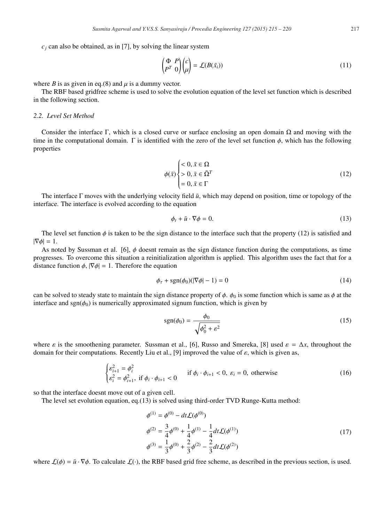$c_i$  can also be obtained, as in [7], by solving the linear system

$$
\begin{pmatrix} \Phi & P \\ P^T & 0 \end{pmatrix} \begin{pmatrix} c \\ \mu \end{pmatrix} = \mathcal{L}(B(\bar{x}_i))
$$
\n(11)

where *B* is as given in eq.(8) and  $\mu$  is a dummy vector.

The RBF based gridfree scheme is used to solve the evolution equation of the level set function which is described in the following section.

# *2.2. Level Set Method*

Consider the interface Γ, which is a closed curve or surface enclosing an open domain  $\Omega$  and moving with the time in the computational domain. Γ is identified with the zero of the level set function  $\phi$ , which has the following properties

$$
\phi(\bar{x}) \begin{cases} < 0, \, \bar{x} \in \Omega \\ > 0, \, \bar{x} \in \bar{\Omega}^T \\ = 0, \, \bar{x} \in \Gamma \end{cases} \tag{12}
$$

The interface Γ moves with the underlying velocity field  $\bar{u}$ , which may depend on position, time or topology of the interface. The interface is evolved according to the equation

$$
\phi_t + \bar{u} \cdot \nabla \phi = 0. \tag{13}
$$

The level set function  $\phi$  is taken to be the sign distance to the interface such that the property (12) is satisfied and  $|\nabla \phi| = 1.$ 

As noted by Sussman et al. [6],  $\phi$  doesnt remain as the sign distance function during the computations, as time progresses. To overcome this situation a reinitialization algorithm is applied. This algorithm uses the fact that for a distance function  $\phi$ ,  $|\nabla \phi| = 1$ . Therefore the equation

$$
\phi_{\tau} + \text{sgn}(\phi_0)(|\nabla \phi| - 1) = 0 \tag{14}
$$

can be solved to steady state to maintain the sign distance property of  $\phi$ .  $\phi_0$  is some function which is same as  $\phi$  at the interface and sgn( $\phi_0$ ) is numerically approximated signum function, which is given by

$$
sgn(\phi_0) = \frac{\phi_0}{\sqrt{\phi_0^2 + \varepsilon^2}}\tag{15}
$$

where  $\varepsilon$  is the smoothening parameter. Sussman et al., [6], Russo and Smereka, [8] used  $\varepsilon = \Delta x$ , throughout the domain for their computations. Recently Liu et al., [9] improved the value of  $\varepsilon$ , which is given as,

$$
\begin{cases} \varepsilon_{i+1}^2 = \phi_i^2\\ \varepsilon_i^2 = \phi_{i+1}^2, \text{ if } \phi_i \cdot \phi_{i+1} < 0 \end{cases} \quad \text{if } \phi_i \cdot \phi_{i+1} < 0, \ \varepsilon_i = 0, \text{ otherwise} \tag{16}
$$

so that the interface doesnt move out of a given cell.

The level set evolution equation, eq.(13) is solved using third-order TVD Runge-Kutta method:

$$
\begin{aligned}\n\phi^{(1)} &= \phi^{(0)} - dt \mathcal{L}(\phi^{(0)}) \\
\phi^{(2)} &= \frac{3}{4} \phi^{(0)} + \frac{1}{4} \phi^{(1)} - \frac{1}{4} dt \mathcal{L}(\phi^{(1)}) \\
\phi^{(3)} &= \frac{1}{3} \phi^{(0)} + \frac{2}{3} \phi^{(2)} - \frac{2}{3} dt \mathcal{L}(\phi^{(2)})\n\end{aligned} \tag{17}
$$

where  $\mathcal{L}(\phi) = \bar{u} \cdot \nabla \phi$ . To calculate  $\mathcal{L}(\cdot)$ , the RBF based grid free scheme, as described in the previous section, is used.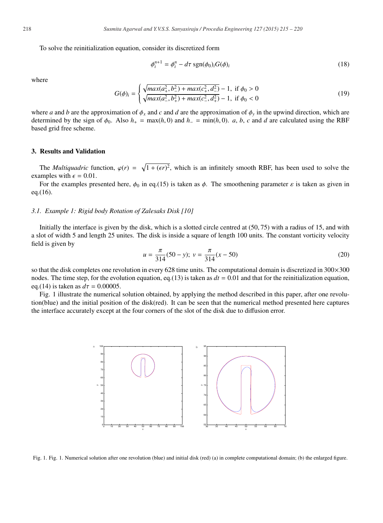To solve the reinitialization equation, consider its discretized form

$$
\phi_i^{n+1} = \phi_i^n - d\tau \operatorname{sgn}(\phi_0)_i G(\phi)_i \tag{18}
$$

where

$$
G(\phi)_i = \begin{cases} \sqrt{max(a_+^2, b_-^2) + max(c_+^2, d_-^2)} - 1, & \text{if } \phi_0 > 0\\ \sqrt{max(a_-^2, b_+^2) + max(c_-^2, d_+^2)} - 1, & \text{if } \phi_0 < 0 \end{cases}
$$
(19)

where *a* and *b* are the approximation of  $\phi_x$  and *c* and *d* are the approximation of  $\phi_y$  in the upwind direction, which are determined by the sign of  $\phi_0$ . Also  $h_+ = \max(h, 0)$  and  $h_- = \min(h, 0)$ . *a*, *b*, *c* and *d* are calculated using the RBF based grid free scheme.

#### 3. Results and Validation

The *Multiquadric* function,  $\varphi(r) = \sqrt{1 + (\epsilon r)^2}$ , which is an infinitely smooth RBF, has been used to solve the examples with  $\epsilon = 0.01$ .

For the examples presented here,  $\phi_0$  in eq.(15) is taken as  $\phi$ . The smoothening parameter  $\varepsilon$  is taken as given in eq.(16).

## *3.1. Example 1: Rigid body Rotation of Zalesaks Disk [10]*

Initially the interface is given by the disk, which is a slotted circle centred at (50, 75) with a radius of 15, and with a slot of width 5 and length 25 unites. The disk is inside a square of length 100 units. The constant vorticity velocity field is given by

$$
u = \frac{\pi}{314}(50 - y); \ v = \frac{\pi}{314}(x - 50)
$$
 (20)

so that the disk completes one revolution in every 628 time units. The computational domain is discretized in  $300\times300$ nodes. The time step, for the evolution equation, eq.(13) is taken as  $dt = 0.01$  and that for the reinitialization equation, eq.(14) is taken as  $d\tau = 0.00005$ .

Fig. 1 illustrate the numerical solution obtained, by applying the method described in this paper, after one revolution(blue) and the initial position of the disk(red). It can be seen that the numerical method presented here captures the interface accurately except at the four corners of the slot of the disk due to diffusion error.



Fig. 1. Fig. 1. Numerical solution after one revolution (blue) and initial disk (red) (a) in complete computational domain; (b) the enlarged figure.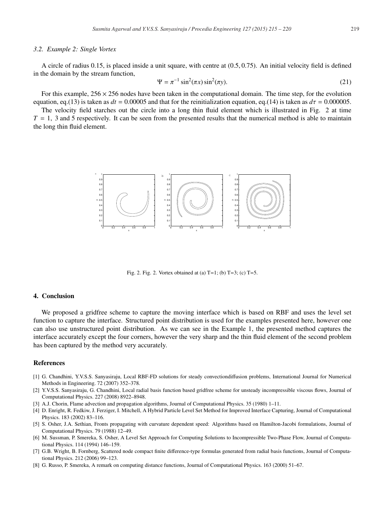#### *3.2. Example 2: Single Vortex*

A circle of radius 0.15, is placed inside a unit square, with centre at (0.5, 0.75). An initial velocity field is defined in the domain by the stream function,

$$
\Psi = \pi^{-1} \sin^2(\pi x) \sin^2(\pi y). \tag{21}
$$

For this example,  $256 \times 256$  nodes have been taken in the computational domain. The time step, for the evolution equation, eq.(13) is taken as  $dt = 0.00005$  and that for the reinitialization equation, eq.(14) is taken as  $d\tau = 0.000005$ .

The velocity field starches out the circle into a long thin fluid element which is illustrated in Fig. 2 at time  $T = 1$ , 3 and 5 respectively. It can be seen from the presented results that the numerical method is able to maintain the long thin fluid element.



Fig. 2. Fig. 2. Vortex obtained at (a)  $T=1$ ; (b)  $T=3$ ; (c)  $T=5$ .

#### 4. Conclusion

We proposed a gridfree scheme to capture the moving interface which is based on RBF and uses the level set function to capture the interface. Structured point distribution is used for the examples presented here, however one can also use unstructured point distribution. As we can see in the Example 1, the presented method captures the interface accurately except the four corners, however the very sharp and the thin fluid element of the second problem has been captured by the method very accurately.

#### References

- [1] G. Chandhini, Y.V.S.S. Sanyasiraju, Local RBF-FD solutions for steady convectiondiffusion problems, International Journal for Numerical Methods in Engineering. 72 (2007) 352–378.
- [2] Y.V.S.S. Sanyasiraju, G. Chandhini, Local radial basis function based gridfree scheme for unsteady incompressible viscous flows, Journal of Computational Physics. 227 (2008) 8922–8948.
- [3] A.J. Chorin, Flame advection and propagation algorithms, Journal of Computational Physics. 35 (1980) 1–11.
- [4] D. Enright, R. Fedkiw, J. Ferziger, I. Mitchell, A Hybrid Particle Level Set Method for Improved Interface Capturing, Journal of Computational Physics. 183 (2002) 83–116.
- [5] S. Osher, J.A. Sethian, Fronts propagating with curvature dependent speed: Algorithms based on Hamilton-Jacobi formulations, Journal of Computational Physics. 79 (1988) 12–49.
- [6] M. Sussman, P. Smereka, S. Osher, A Level Set Approach for Computing Solutions to Incompressible Two-Phase Flow, Journal of Computational Physics. 114 (1994) 146–159.
- [7] G.B. Wright, B. Fornberg, Scattered node compact finite difference-type formulas generated from radial basis functions, Journal of Computational Physics. 212 (2006) 99–123.
- [8] G. Russo, P. Smereka, A remark on computing distance functions, Journal of Computational Physics. 163 (2000) 51–67.